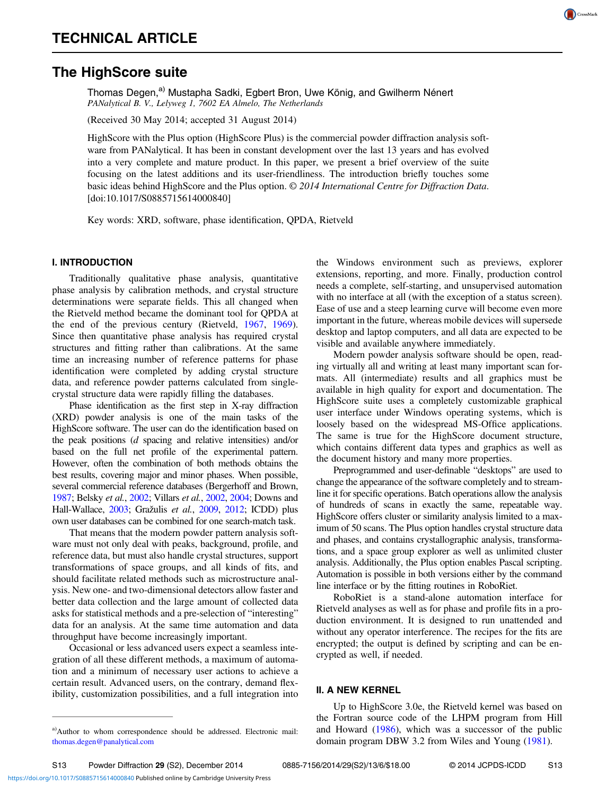Thomas Degen,<sup>a)</sup> Mustapha Sadki, Egbert Bron, Uwe König, and Gwilherm Nénert PANalytical B. V., Lelyweg 1, 7602 EA Almelo, The Netherlands

(Received 30 May 2014; accepted 31 August 2014)

HighScore with the Plus option (HighScore Plus) is the commercial powder diffraction analysis software from PANalytical. It has been in constant development over the last 13 years and has evolved into a very complete and mature product. In this paper, we present a brief overview of the suite focusing on the latest additions and its user-friendliness. The introduction briefly touches some basic ideas behind HighScore and the Plus option. © 2014 International Centre for Diffraction Data. [doi:10.1017/S0885715614000840]

Key words: XRD, software, phase identification, QPDA, Rietveld

#### **I. INTRODUCTION** I. INTRODUCTION

Traditionally qualitative phase analysis, quantitative phase analysis by calibration methods, and crystal structure determinations were separate fields. This all changed when the Rietveld method became the dominant tool for QPDA at the end of the previous century (Rietveld, [1967,](#page-5-0) [1969](#page-5-0)). Since then quantitative phase analysis has required crystal structures and fitting rather than calibrations. At the same time an increasing number of reference patterns for phase identification were completed by adding crystal structure data, and reference powder patterns calculated from singlecrystal structure data were rapidly filling the databases.

Phase identification as the first step in X-ray diffraction (XRD) powder analysis is one of the main tasks of the HighScore software. The user can do the identification based on the peak positions (d spacing and relative intensities) and/or based on the full net profile of the experimental pattern. However, often the combination of both methods obtains the best results, covering major and minor phases. When possible, several commercial reference databases (Bergerhoff and Brown, [1987](#page-4-0); Belsky et al., [2002](#page-4-0); Villars et al., [2002](#page-5-0), [2004](#page-5-0); Downs and Hall-Wallace, [2003;](#page-4-0) Gražulis et al., [2009](#page-4-0), [2012](#page-4-0); ICDD) plus own user databases can be combined for one search-match task.

That means that the modern powder pattern analysis software must not only deal with peaks, background, profile, and reference data, but must also handle crystal structures, support transformations of space groups, and all kinds of fits, and should facilitate related methods such as microstructure analysis. New one- and two-dimensional detectors allow faster and better data collection and the large amount of collected data asks for statistical methods and a pre-selection of "interesting" data for an analysis. At the same time automation and data throughput have become increasingly important.

Occasional or less advanced users expect a seamless integration of all these different methods, a maximum of automation and a minimum of necessary user actions to achieve a certain result. Advanced users, on the contrary, demand flexibility, customization possibilities, and a full integration into the Windows environment such as previews, explorer extensions, reporting, and more. Finally, production control needs a complete, self-starting, and unsupervised automation with no interface at all (with the exception of a status screen). Ease of use and a steep learning curve will become even more important in the future, whereas mobile devices will supersede desktop and laptop computers, and all data are expected to be visible and available anywhere immediately.

Modern powder analysis software should be open, reading virtually all and writing at least many important scan formats. All (intermediate) results and all graphics must be available in high quality for export and documentation. The HighScore suite uses a completely customizable graphical user interface under Windows operating systems, which is loosely based on the widespread MS-Office applications. The same is true for the HighScore document structure, which contains different data types and graphics as well as the document history and many more properties.

Preprogrammed and user-definable "desktops" are used to change the appearance of the software completely and to streamline it for specific operations. Batch operations allow the analysis of hundreds of scans in exactly the same, repeatable way. HighScore offers cluster or similarity analysis limited to a maximum of 50 scans. The Plus option handles crystal structure data and phases, and contains crystallographic analysis, transformations, and a space group explorer as well as unlimited cluster analysis. Additionally, the Plus option enables Pascal scripting. Automation is possible in both versions either by the command line interface or by the fitting routines in RoboRiet.

RoboRiet is a stand-alone automation interface for Rietveld analyses as well as for phase and profile fits in a production environment. It is designed to run unattended and without any operator interference. The recipes for the fits are encrypted; the output is defined by scripting and can be encrypted as well, if needed.

### **II. A NEW KERNEL**

Up to HighScore 3.0e, the Rietveld kernel was based on the Fortran source code of the LHPM program from Hill and Howard ([1986\)](#page-4-0), which was a successor of the public domain program DBW 3.2 from Wiles and Young ([1981\)](#page-5-0).



<sup>&</sup>lt;sup>a)</sup>Author to whom correspondence should be addressed. Electronic mail: [thomas.degen@panalytical.com](mailto:thomas.degen@panalytical.com)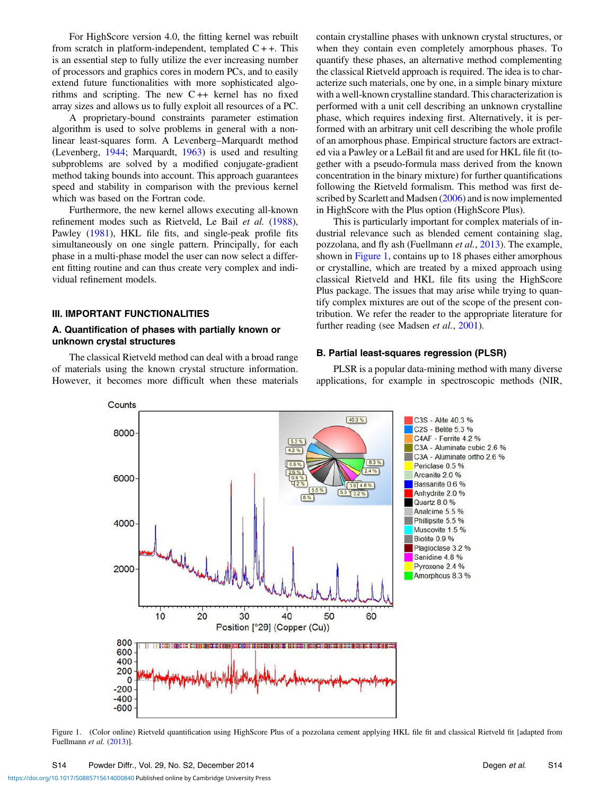For HighScore version 4.0, the fitting kernel was rebuilt from scratch in platform-independent, templated  $C_{++}$ . This is an essential step to fully utilize the ever increasing number of processors and graphics cores in modern PCs, and to easily extend future functionalities with more sophisticated algorithms and scripting. The new  $C++$  kernel has no fixed array sizes and allows us to fully exploit all resources of a PC.

A proprietary-bound constraints parameter estimation algorithm is used to solve problems in general with a nonlinear least-squares form. A Levenberg–Marquardt method (Levenberg, [1944;](#page-4-0) Marquardt, [1963](#page-4-0)) is used and resulting subproblems are solved by a modified conjugate-gradient method taking bounds into account. This approach guarantees speed and stability in comparison with the previous kernel which was based on the Fortran code.

Furthermore, the new kernel allows executing all-known refinement modes such as Rietveld, Le Bail et al. [\(1988](#page-4-0)), Pawley [\(1981](#page-5-0)), HKL file fits, and single-peak profile fits simultaneously on one single pattern. Principally, for each phase in a multi-phase model the user can now select a different fitting routine and can thus create very complex and individual refinement models.

#### **III. IMPORTANT FUNCTIONALITIES** III. IMPORTANT FUNCTIONALITIES

## A. Quantification of phases with partially known or unknown crystal structures

The classical Rietveld method can deal with a broad range of materials using the known crystal structure information. However, it becomes more difficult when these materials contain crystalline phases with unknown crystal structures, or when they contain even completely amorphous phases. To quantify these phases, an alternative method complementing the classical Rietveld approach is required. The idea is to characterize such materials, one by one, in a simple binary mixture with a well-known crystalline standard. This characterization is performed with a unit cell describing an unknown crystalline phase, which requires indexing first. Alternatively, it is performed with an arbitrary unit cell describing the whole profile of an amorphous phase. Empirical structure factors are extracted via a Pawley or a LeBail fit and are used for HKL file fit (together with a pseudo-formula mass derived from the known concentration in the binary mixture) for further quantifications following the Rietveld formalism. This method was first described by Scarlett and Madsen ([2006\)](#page-5-0) and is now implemented in HighScore with the Plus option (HighScore Plus).

This is particularly important for complex materials of industrial relevance such as blended cement containing slag, pozzolana, and fly ash (Fuellmann et al., [2013](#page-4-0)). The example, shown in Figure 1, contains up to 18 phases either amorphous or crystalline, which are treated by a mixed approach using classical Rietveld and HKL file fits using the HighScore Plus package. The issues that may arise while trying to quantify complex mixtures are out of the scope of the present contribution. We refer the reader to the appropriate literature for further reading (see Madsen et al., [2001\)](#page-4-0).

### B. Partial least-squares regression (PLSR)

PLSR is a popular data-mining method with many diverse applications, for example in spectroscopic methods (NIR,



Figure 1. (Color online) Rietveld quantification using HighScore Plus of a pozzolana cement applying HKL file fit and classical Rietveld fit [adapted from Fuellmann et al. [\(2013](#page-4-0))].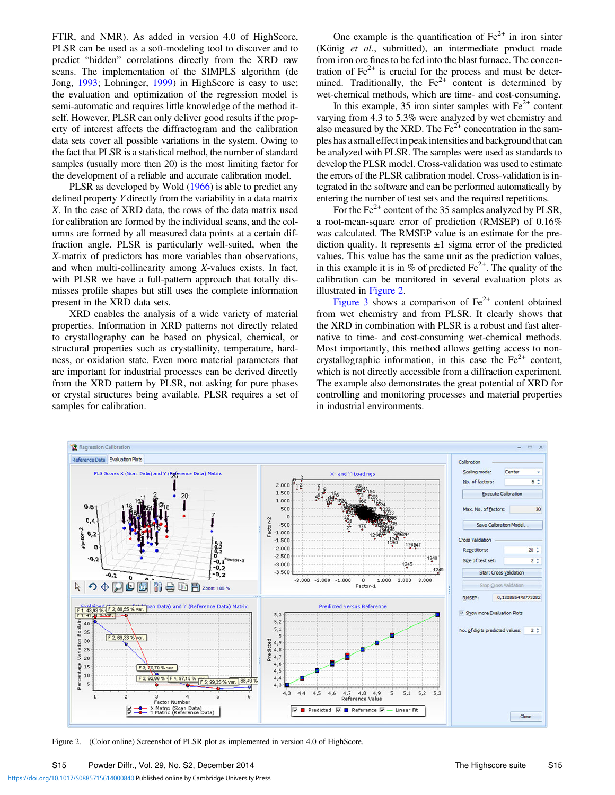FTIR, and NMR). As added in version 4.0 of HighScore, PLSR can be used as a soft-modeling tool to discover and to predict "hidden" correlations directly from the XRD raw scans. The implementation of the SIMPLS algorithm (de Jong, [1993](#page-4-0); Lohninger, [1999](#page-4-0)) in HighScore is easy to use; the evaluation and optimization of the regression model is semi-automatic and requires little knowledge of the method itself. However, PLSR can only deliver good results if the property of interest affects the diffractogram and the calibration data sets cover all possible variations in the system. Owing to the fact that PLSR is a statistical method, the number of standard samples (usually more then 20) is the most limiting factor for the development of a reliable and accurate calibration model.

PLSR as developed by Wold [\(1966](#page-5-0)) is able to predict any defined property Y directly from the variability in a data matrix X. In the case of XRD data, the rows of the data matrix used for calibration are formed by the individual scans, and the columns are formed by all measured data points at a certain diffraction angle. PLSR is particularly well-suited, when the X-matrix of predictors has more variables than observations, and when multi-collinearity among X-values exists. In fact, with PLSR we have a full-pattern approach that totally dismisses profile shapes but still uses the complete information present in the XRD data sets.

XRD enables the analysis of a wide variety of material properties. Information in XRD patterns not directly related to crystallography can be based on physical, chemical, or structural properties such as crystallinity, temperature, hardness, or oxidation state. Even more material parameters that are important for industrial processes can be derived directly from the XRD pattern by PLSR, not asking for pure phases or crystal structures being available. PLSR requires a set of samples for calibration.

One example is the quantification of  $Fe<sup>2+</sup>$  in iron sinter (König et al., submitted), an intermediate product made from iron ore fines to be fed into the blast furnace. The concentration of  $Fe<sup>2+</sup>$  is crucial for the process and must be determined. Traditionally, the  $Fe<sup>2+</sup>$  content is determined by wet-chemical methods, which are time- and cost-consuming.

In this example, 35 iron sinter samples with  $Fe<sup>2+</sup>$  content varying from 4.3 to 5.3% were analyzed by wet chemistry and also measured by the XRD. The  $Fe<sup>2+</sup>$  concentration in the samples has a small effect in peakintensities and background that can be analyzed with PLSR. The samples were used as standards to develop the PLSR model. Cross-validation was used to estimate the errors of the PLSR calibration model. Cross-validation is integrated in the software and can be performed automatically by entering the number of test sets and the required repetitions.

For the  $Fe<sup>2+</sup>$  content of the 35 samples analyzed by PLSR, a root-mean-square error of prediction (RMSEP) of 0.16% was calculated. The RMSEP value is an estimate for the prediction quality. It represents  $\pm 1$  sigma error of the predicted values. This value has the same unit as the prediction values, in this example it is in % of predicted  $Fe^{2+}$ . The quality of the calibration can be monitored in several evaluation plots as illustrated in Figure 2.

[Figure 3](#page-3-0) shows a comparison of  $Fe<sup>2+</sup>$  content obtained from wet chemistry and from PLSR. It clearly shows that the XRD in combination with PLSR is a robust and fast alternative to time- and cost-consuming wet-chemical methods. Most importantly, this method allows getting access to noncrystallographic information, in this case the  $Fe<sup>2+</sup>$  content, which is not directly accessible from a diffraction experiment. The example also demonstrates the great potential of XRD for controlling and monitoring processes and material properties in industrial environments.



Figure 2. (Color online) Screenshot of PLSR plot as implemented in version 4.0 of HighScore.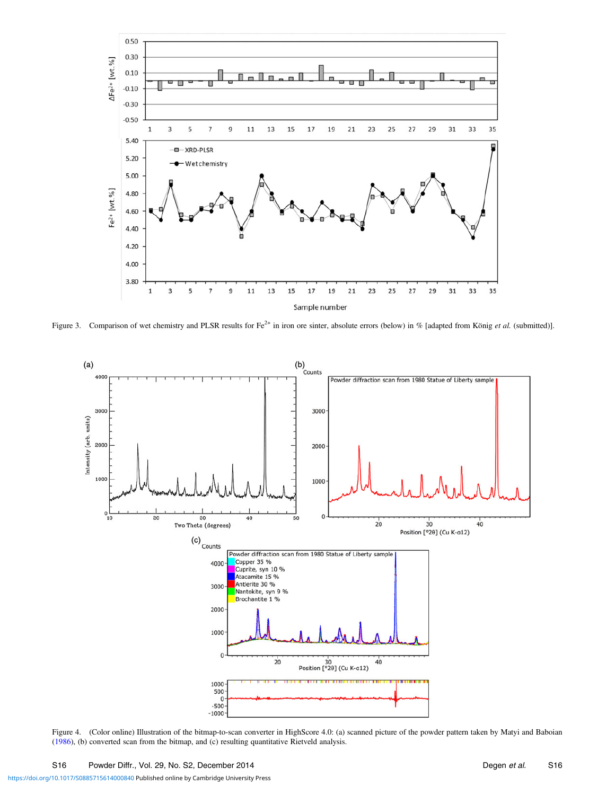<span id="page-3-0"></span>

Figure 3. Comparison of wet chemistry and PLSR results for  $Fe^{2+}$  in iron ore sinter, absolute errors (below) in % [adapted from König et al. (submitted)].



Figure 4. (Color online) Illustration of the bitmap-to-scan converter in HighScore 4.0: (a) scanned picture of the powder pattern taken by Matyi and Baboian ([1986\)](#page-4-0), (b) converted scan from the bitmap, and (c) resulting quantitative Rietveld analysis.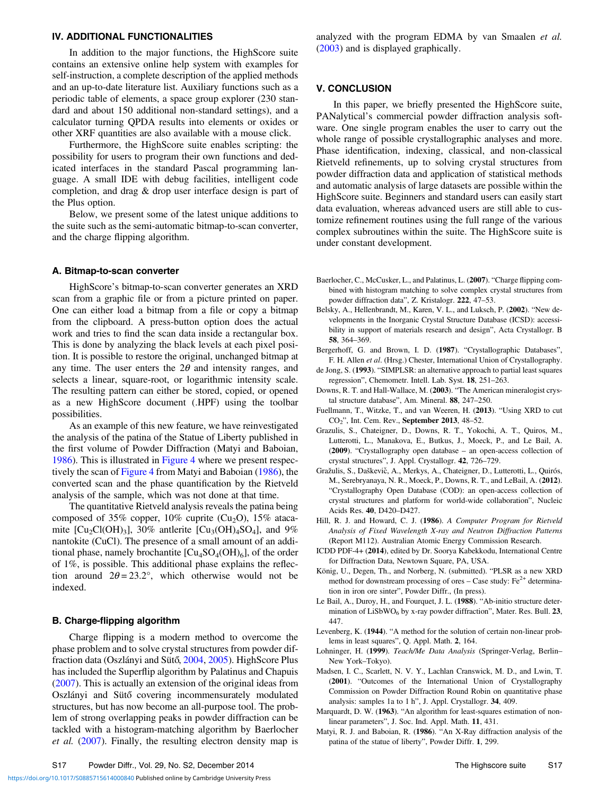## <span id="page-4-0"></span>IV. ADDITIONAL FUNCTIONAL FUNCTIONAL

In addition to the major functions, the HighScore suite contains an extensive online help system with examples for self-instruction, a complete description of the applied methods and an up-to-date literature list. Auxiliary functions such as a periodic table of elements, a space group explorer (230 standard and about 150 additional non-standard settings), and a calculator turning QPDA results into elements or oxides or other XRF quantities are also available with a mouse click.

Furthermore, the HighScore suite enables scripting: the possibility for users to program their own functions and dedicated interfaces in the standard Pascal programming language. A small IDE with debug facilities, intelligent code completion, and drag & drop user interface design is part of the Plus option.

Below, we present some of the latest unique additions to the suite such as the semi-automatic bitmap-to-scan converter, and the charge flipping algorithm.

#### A. Bitmap-to-scan converter

HighScore's bitmap-to-scan converter generates an XRD scan from a graphic file or from a picture printed on paper. One can either load a bitmap from a file or copy a bitmap from the clipboard. A press-button option does the actual work and tries to find the scan data inside a rectangular box. This is done by analyzing the black levels at each pixel position. It is possible to restore the original, unchanged bitmap at any time. The user enters the  $2\theta$  and intensity ranges, and selects a linear, square-root, or logarithmic intensity scale. The resulting pattern can either be stored, copied, or opened as a new HighScore document (.HPF) using the toolbar possibilities.

As an example of this new feature, we have reinvestigated the analysis of the patina of the Statue of Liberty published in the first volume of Powder Diffraction (Matyi and Baboian, 1986). This is illustrated in [Figure 4](#page-3-0) where we present respectively the scan of [Figure 4](#page-3-0) from Matyi and Baboian (1986), the converted scan and the phase quantification by the Rietveld analysis of the sample, which was not done at that time.

The quantitative Rietveld analysis reveals the patina being composed of 35% copper, 10% cuprite ( $Cu<sub>2</sub>O$ ), 15% atacamite  $\text{[Cu}_2\text{Cl(OH)}_3\text{]}$ , 30% antlerite  $\text{[Cu}_3\text{OH})_4\text{SO}_4\text{]}$ , and 9% nantokite (CuCl). The presence of a small amount of an additional phase, namely brochantite  $\text{[Cu}_4\text{SO}_4(\text{OH})_6$ , of the order of 1%, is possible. This additional phase explains the reflection around  $2\theta = 23.2^{\circ}$ , which otherwise would not be indexed.

# $\blacksquare$

Charge flipping is a modern method to overcome the phase problem and to solve crystal structures from powder dif-fraction data (Oszlányi and Sütő, [2004,](#page-5-0) [2005](#page-5-0)). HighScore Plus has included the Superflip algorithm by Palatinus and Chapuis [\(2007](#page-5-0)). This is actually an extension of the original ideas from Oszlányi and Sütő covering incommensurately modulated structures, but has now become an all-purpose tool. The problem of strong overlapping peaks in powder diffraction can be tackled with a histogram-matching algorithm by Baerlocher et al. (2007). Finally, the resulting electron density map is analyzed with the program EDMA by van Smaalen et al. [\(2003](#page-5-0)) and is displayed graphically.

In this paper, we briefly presented the HighScore suite, PANalytical's commercial powder diffraction analysis software. One single program enables the user to carry out the whole range of possible crystallographic analyses and more. Phase identification, indexing, classical, and non-classical Rietveld refinements, up to solving crystal structures from powder diffraction data and application of statistical methods and automatic analysis of large datasets are possible within the HighScore suite. Beginners and standard users can easily start data evaluation, whereas advanced users are still able to customize refinement routines using the full range of the various complex subroutines within the suite. The HighScore suite is under constant development.

- Baerlocher, C., McCusker, L., and Palatinus, L. (2007). "Charge flipping combined with histogram matching to solve complex crystal structures from powder diffraction data", Z. Kristalogr. 222, 47–53.
- Belsky, A., Hellenbrandt, M., Karen, V. L., and Luksch, P. (2002). "New developments in the Inorganic Crystal Structure Database (ICSD): accessibility in support of materials research and design", Acta Crystallogr. B 58, 364–369.
- Bergerhoff, G. and Brown, I. D. (1987). "Crystallographic Databases", F. H. Allen et al. (Hrsg.) Chester, International Union of Crystallography.
- de Jong, S. (1993). "SIMPLSR: an alternative approach to partial least squares regression", Chemometr. Intell. Lab. Syst. 18, 251–263.
- Downs, R. T. and Hall-Wallace, M. (2003). "The American mineralogist crystal structure database", Am. Mineral. 88, 247–250.
- Fuellmann, T., Witzke, T., and van Weeren, H. (2013). "Using XRD to cut CO2", Int. Cem. Rev., September 2013, 48–52.
- Grazulis, S., Chateigner, D., Downs, R. T., Yokochi, A. T., Quiros, M., Lutterotti, L., Manakova, E., Butkus, J., Moeck, P., and Le Bail, A. (2009). "Crystallography open database – an open-access collection of crystal structures", J. Appl. Crystallogr. 42, 726–729.
- Gražulis, S., Daškevič, A., Merkys, A., Chateigner, D., Lutterotti, L., Quirós, M., Serebryanaya, N. R., Moeck, P., Downs, R. T., and LeBail, A. (2012). "Crystallography Open Database (COD): an open-access collection of crystal structures and platform for world-wide collaboration", Nucleic Acids Res. 40, D420–D427.
- Hill, R. J. and Howard, C. J. (1986). A Computer Program for Rietveld Analysis of Fixed Wavelength X-ray and Neutron Diffraction Patterns (Report M112). Australian Atomic Energy Commission Research.
- ICDD PDF-4+ (2014), edited by Dr. Soorya Kabekkodu, International Centre for Diffraction Data, Newtown Square, PA, USA.
- König, U., Degen, Th., and Norberg, N. (submitted). "PLSR as a new XRD method for downstream processing of ores – Case study:  $Fe<sup>2+</sup>$  determination in iron ore sinter", Powder Diffr., (In press).
- Le Bail, A., Duroy, H., and Fourquet, J. L. (1988). "Ab-initio structure determination of  $LiSbWO<sub>6</sub>$  by x-ray powder diffraction", Mater. Res. Bull. 23, 447.
- Levenberg, K. (1944). "A method for the solution of certain non-linear problems in least squares", Q. Appl. Math. 2, 164.
- Lohninger, H. (1999). Teach/Me Data Analysis (Springer-Verlag, Berlin-New York–Tokyo).
- Madsen, I. C., Scarlett, N. V. Y., Lachlan Cranswick, M. D., and Lwin, T. (2001). "Outcomes of the International Union of Crystallography Commission on Powder Diffraction Round Robin on quantitative phase analysis: samples 1a to 1 h", J. Appl. Crystallogr. 34, 409.
- Marquardt, D. W. (1963). "An algorithm for least-squares estimation of nonlinear parameters", J. Soc. Ind. Appl. Math. 11, 431.
- Matyi, R. J. and Baboian, R. (1986). "An X-Ray diffraction analysis of the patina of the statue of liberty", Powder Diffr. 1, 299.